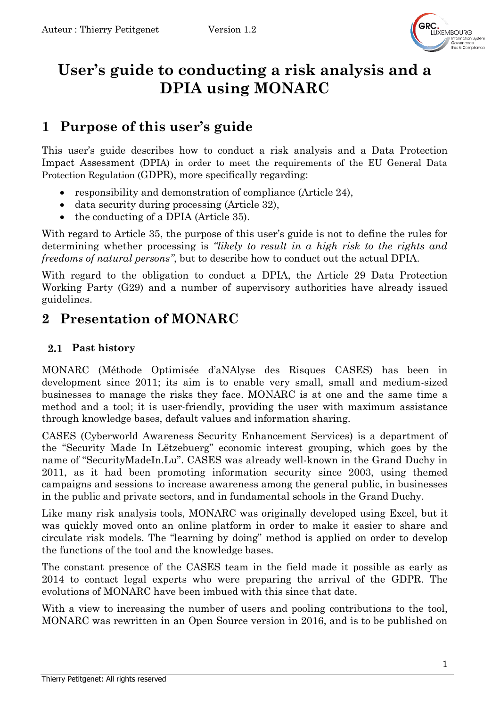

# **User's guide to conducting a risk analysis and a DPIA using MONARC**

# **1 Purpose of this user's guide**

This user's guide describes how to conduct a risk analysis and a Data Protection Impact Assessment (DPIA) in order to meet the requirements of the EU General Data Protection Regulation (GDPR), more specifically regarding:

- responsibility and demonstration of compliance (Article 24),
- data security during processing (Article 32),
- the conducting of a DPIA (Article 35).

With regard to Article 35, the purpose of this user's guide is not to define the rules for determining whether processing is *"likely to result in a high risk to the rights and freedoms of natural persons"*, but to describe how to conduct out the actual DPIA.

With regard to the obligation to conduct a DPIA, the Article 29 Data Protection Working Party (G29) and a number of supervisory authorities have already issued guidelines.

# **2 Presentation of MONARC**

### **Past history**

MONARC (Méthode Optimisée d'aNAlyse des Risques CASES) has been in development since 2011; its aim is to enable very small, small and medium-sized businesses to manage the risks they face. MONARC is at one and the same time a method and a tool; it is user-friendly, providing the user with maximum assistance through knowledge bases, default values and information sharing.

CASES (Cyberworld Awareness Security Enhancement Services) is a department of the "Security Made In Lëtzebuerg" economic interest grouping, which goes by the name of "SecurityMadeIn.Lu". CASES was already well-known in the Grand Duchy in 2011, as it had been promoting information security since 2003, using themed campaigns and sessions to increase awareness among the general public, in businesses in the public and private sectors, and in fundamental schools in the Grand Duchy.

Like many risk analysis tools, MONARC was originally developed using Excel, but it was quickly moved onto an online platform in order to make it easier to share and circulate risk models. The "learning by doing" method is applied on order to develop the functions of the tool and the knowledge bases.

The constant presence of the CASES team in the field made it possible as early as 2014 to contact legal experts who were preparing the arrival of the GDPR. The evolutions of MONARC have been imbued with this since that date.

With a view to increasing the number of users and pooling contributions to the tool, MONARC was rewritten in an Open Source version in 2016, and is to be published on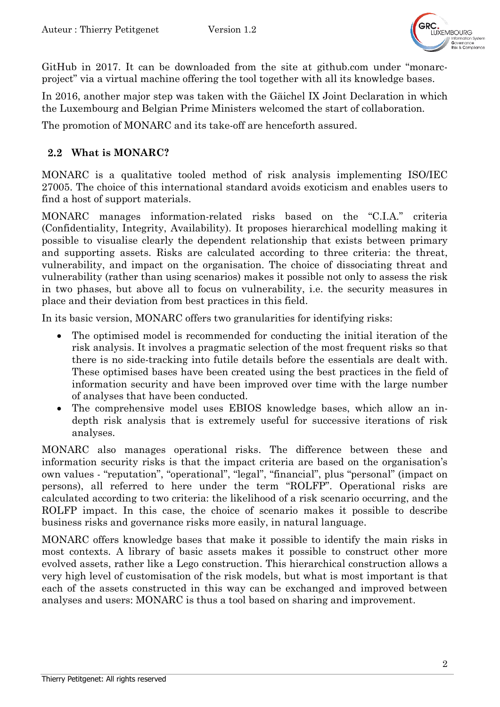

GitHub in 2017. It can be downloaded from the site at github.com under "monarcproject" via a virtual machine offering the tool together with all its knowledge bases.

In 2016, another major step was taken with the Gäichel IX Joint Declaration in which the Luxembourg and Belgian Prime Ministers welcomed the start of collaboration*.*

The promotion of MONARC and its take-off are henceforth assured.

#### **What is MONARC?**

MONARC is a qualitative tooled method of risk analysis implementing ISO/IEC 27005. The choice of this international standard avoids exoticism and enables users to find a host of support materials.

MONARC manages information-related risks based on the "C.I.A." criteria (Confidentiality, Integrity, Availability). It proposes hierarchical modelling making it possible to visualise clearly the dependent relationship that exists between primary and supporting assets. Risks are calculated according to three criteria: the threat, vulnerability, and impact on the organisation. The choice of dissociating threat and vulnerability (rather than using scenarios) makes it possible not only to assess the risk in two phases, but above all to focus on vulnerability, i.e. the security measures in place and their deviation from best practices in this field.

In its basic version, MONARC offers two granularities for identifying risks:

- The optimised model is recommended for conducting the initial iteration of the risk analysis. It involves a pragmatic selection of the most frequent risks so that there is no side-tracking into futile details before the essentials are dealt with. These optimised bases have been created using the best practices in the field of information security and have been improved over time with the large number of analyses that have been conducted.
- The comprehensive model uses EBIOS knowledge bases, which allow an indepth risk analysis that is extremely useful for successive iterations of risk analyses.

MONARC also manages operational risks. The difference between these and information security risks is that the impact criteria are based on the organisation's own values - "reputation", "operational", "legal", "financial", plus "personal" (impact on persons), all referred to here under the term "ROLFP". Operational risks are calculated according to two criteria: the likelihood of a risk scenario occurring, and the ROLFP impact. In this case, the choice of scenario makes it possible to describe business risks and governance risks more easily, in natural language.

MONARC offers knowledge bases that make it possible to identify the main risks in most contexts. A library of basic assets makes it possible to construct other more evolved assets, rather like a Lego construction. This hierarchical construction allows a very high level of customisation of the risk models, but what is most important is that each of the assets constructed in this way can be exchanged and improved between analyses and users: MONARC is thus a tool based on sharing and improvement.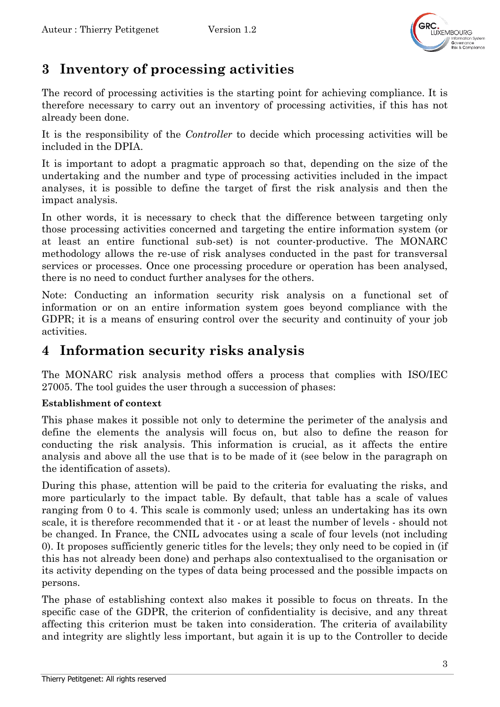

# **3 Inventory of processing activities**

The record of processing activities is the starting point for achieving compliance. It is therefore necessary to carry out an inventory of processing activities, if this has not already been done.

It is the responsibility of the *Controller* to decide which processing activities will be included in the DPIA.

It is important to adopt a pragmatic approach so that, depending on the size of the undertaking and the number and type of processing activities included in the impact analyses, it is possible to define the target of first the risk analysis and then the impact analysis.

In other words, it is necessary to check that the difference between targeting only those processing activities concerned and targeting the entire information system (or at least an entire functional sub-set) is not counter-productive. The MONARC methodology allows the re-use of risk analyses conducted in the past for transversal services or processes. Once one processing procedure or operation has been analysed, there is no need to conduct further analyses for the others.

Note: Conducting an information security risk analysis on a functional set of information or on an entire information system goes beyond compliance with the GDPR; it is a means of ensuring control over the security and continuity of your job activities.

## **4 Information security risks analysis**

The MONARC risk analysis method offers a process that complies with ISO/IEC 27005. The tool guides the user through a succession of phases:

### **Establishment of context**

This phase makes it possible not only to determine the perimeter of the analysis and define the elements the analysis will focus on, but also to define the reason for conducting the risk analysis. This information is crucial, as it affects the entire analysis and above all the use that is to be made of it (see below in the paragraph on the identification of assets).

During this phase, attention will be paid to the criteria for evaluating the risks, and more particularly to the impact table. By default, that table has a scale of values ranging from 0 to 4. This scale is commonly used; unless an undertaking has its own scale, it is therefore recommended that it - or at least the number of levels - should not be changed. In France, the CNIL advocates using a scale of four levels (not including 0). It proposes sufficiently generic titles for the levels; they only need to be copied in (if this has not already been done) and perhaps also contextualised to the organisation or its activity depending on the types of data being processed and the possible impacts on persons.

The phase of establishing context also makes it possible to focus on threats. In the specific case of the GDPR, the criterion of confidentiality is decisive, and any threat affecting this criterion must be taken into consideration. The criteria of availability and integrity are slightly less important, but again it is up to the Controller to decide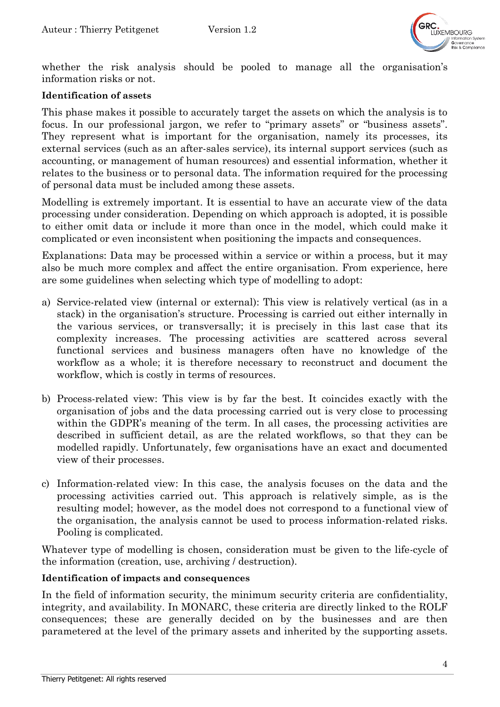

whether the risk analysis should be pooled to manage all the organisation's information risks or not.

#### **Identification of assets**

This phase makes it possible to accurately target the assets on which the analysis is to focus. In our professional jargon, we refer to "primary assets" or "business assets". They represent what is important for the organisation, namely its processes, its external services (such as an after-sales service), its internal support services (such as accounting, or management of human resources) and essential information, whether it relates to the business or to personal data. The information required for the processing of personal data must be included among these assets.

Modelling is extremely important. It is essential to have an accurate view of the data processing under consideration. Depending on which approach is adopted, it is possible to either omit data or include it more than once in the model, which could make it complicated or even inconsistent when positioning the impacts and consequences.

Explanations: Data may be processed within a service or within a process, but it may also be much more complex and affect the entire organisation. From experience, here are some guidelines when selecting which type of modelling to adopt:

- a) Service-related view (internal or external): This view is relatively vertical (as in a stack) in the organisation's structure. Processing is carried out either internally in the various services, or transversally; it is precisely in this last case that its complexity increases. The processing activities are scattered across several functional services and business managers often have no knowledge of the workflow as a whole; it is therefore necessary to reconstruct and document the workflow, which is costly in terms of resources.
- b) Process-related view: This view is by far the best. It coincides exactly with the organisation of jobs and the data processing carried out is very close to processing within the GDPR's meaning of the term. In all cases, the processing activities are described in sufficient detail, as are the related workflows, so that they can be modelled rapidly. Unfortunately, few organisations have an exact and documented view of their processes.
- c) Information-related view: In this case, the analysis focuses on the data and the processing activities carried out. This approach is relatively simple, as is the resulting model; however, as the model does not correspond to a functional view of the organisation, the analysis cannot be used to process information-related risks. Pooling is complicated.

Whatever type of modelling is chosen, consideration must be given to the life-cycle of the information (creation, use, archiving / destruction).

#### **Identification of impacts and consequences**

In the field of information security, the minimum security criteria are confidentiality, integrity, and availability. In MONARC, these criteria are directly linked to the ROLF consequences; these are generally decided on by the businesses and are then parametered at the level of the primary assets and inherited by the supporting assets.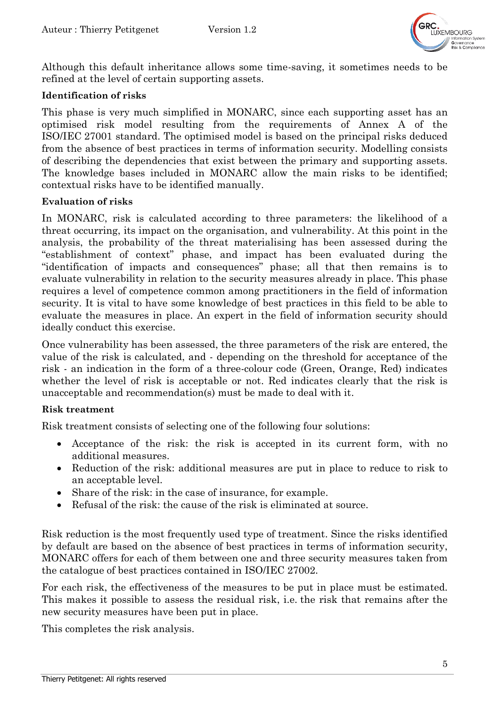

Although this default inheritance allows some time-saving, it sometimes needs to be refined at the level of certain supporting assets.

#### **Identification of risks**

This phase is very much simplified in MONARC, since each supporting asset has an optimised risk model resulting from the requirements of Annex A of the ISO/IEC 27001 standard. The optimised model is based on the principal risks deduced from the absence of best practices in terms of information security. Modelling consists of describing the dependencies that exist between the primary and supporting assets. The knowledge bases included in MONARC allow the main risks to be identified; contextual risks have to be identified manually.

#### **Evaluation of risks**

In MONARC, risk is calculated according to three parameters: the likelihood of a threat occurring, its impact on the organisation, and vulnerability. At this point in the analysis, the probability of the threat materialising has been assessed during the "establishment of context" phase, and impact has been evaluated during the "identification of impacts and consequences" phase; all that then remains is to evaluate vulnerability in relation to the security measures already in place. This phase requires a level of competence common among practitioners in the field of information security. It is vital to have some knowledge of best practices in this field to be able to evaluate the measures in place. An expert in the field of information security should ideally conduct this exercise.

Once vulnerability has been assessed, the three parameters of the risk are entered, the value of the risk is calculated, and - depending on the threshold for acceptance of the risk - an indication in the form of a three-colour code (Green, Orange, Red) indicates whether the level of risk is acceptable or not. Red indicates clearly that the risk is unacceptable and recommendation(s) must be made to deal with it.

#### **Risk treatment**

Risk treatment consists of selecting one of the following four solutions:

- Acceptance of the risk: the risk is accepted in its current form, with no additional measures.
- Reduction of the risk: additional measures are put in place to reduce to risk to an acceptable level.
- Share of the risk: in the case of insurance, for example.
- Refusal of the risk: the cause of the risk is eliminated at source.

Risk reduction is the most frequently used type of treatment. Since the risks identified by default are based on the absence of best practices in terms of information security, MONARC offers for each of them between one and three security measures taken from the catalogue of best practices contained in ISO/IEC 27002.

For each risk, the effectiveness of the measures to be put in place must be estimated. This makes it possible to assess the residual risk, i.e. the risk that remains after the new security measures have been put in place.

This completes the risk analysis.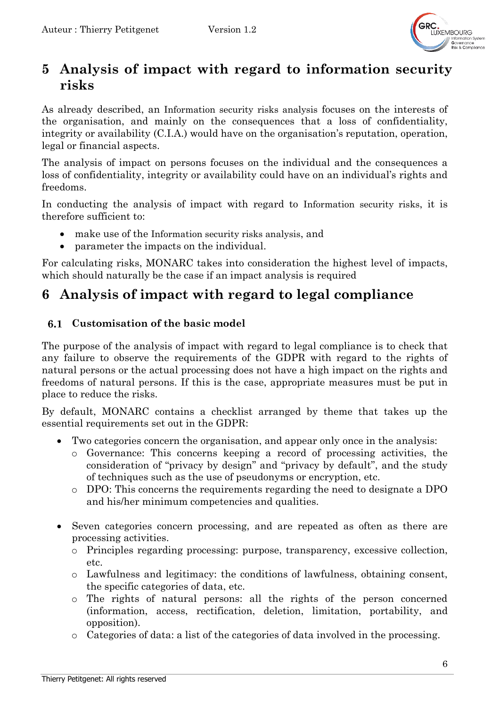

# **5 Analysis of impact with regard to information security risks**

As already described, an Information security risks analysis focuses on the interests of the organisation, and mainly on the consequences that a loss of confidentiality, integrity or availability (C.I.A.) would have on the organisation's reputation, operation, legal or financial aspects.

The analysis of impact on persons focuses on the individual and the consequences a loss of confidentiality, integrity or availability could have on an individual's rights and freedoms.

In conducting the analysis of impact with regard to Information security risks, it is therefore sufficient to:

- make use of the Information security risks analysis, and
- parameter the impacts on the individual.

For calculating risks, MONARC takes into consideration the highest level of impacts, which should naturally be the case if an impact analysis is required

# **6 Analysis of impact with regard to legal compliance**

### **Customisation of the basic model**

The purpose of the analysis of impact with regard to legal compliance is to check that any failure to observe the requirements of the GDPR with regard to the rights of natural persons or the actual processing does not have a high impact on the rights and freedoms of natural persons. If this is the case, appropriate measures must be put in place to reduce the risks.

By default, MONARC contains a checklist arranged by theme that takes up the essential requirements set out in the GDPR:

- Two categories concern the organisation, and appear only once in the analysis:
	- o Governance: This concerns keeping a record of processing activities, the consideration of "privacy by design" and "privacy by default", and the study of techniques such as the use of pseudonyms or encryption, etc.
	- o DPO: This concerns the requirements regarding the need to designate a DPO and his/her minimum competencies and qualities.
- Seven categories concern processing, and are repeated as often as there are processing activities.
	- o Principles regarding processing: purpose, transparency, excessive collection, etc.
	- o Lawfulness and legitimacy: the conditions of lawfulness, obtaining consent, the specific categories of data, etc.
	- o The rights of natural persons: all the rights of the person concerned (information, access, rectification, deletion, limitation, portability, and opposition).
	- o Categories of data: a list of the categories of data involved in the processing.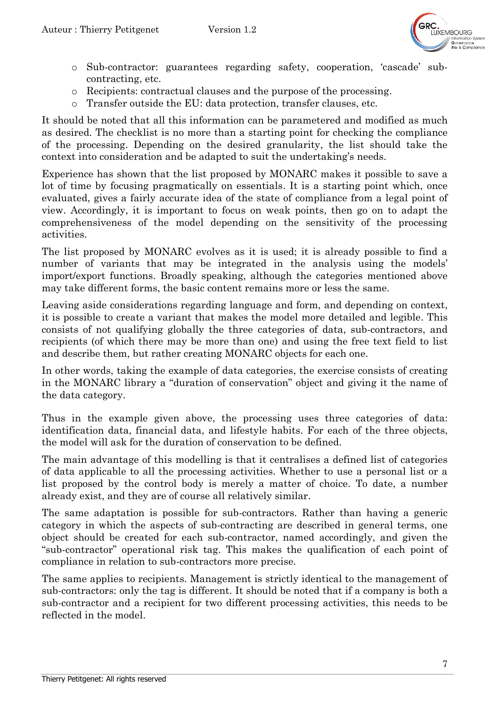

- o Sub-contractor: guarantees regarding safety, cooperation, 'cascade' subcontracting, etc.
- o Recipients: contractual clauses and the purpose of the processing.
- o Transfer outside the EU: data protection, transfer clauses, etc.

It should be noted that all this information can be parametered and modified as much as desired. The checklist is no more than a starting point for checking the compliance of the processing. Depending on the desired granularity, the list should take the context into consideration and be adapted to suit the undertaking's needs.

Experience has shown that the list proposed by MONARC makes it possible to save a lot of time by focusing pragmatically on essentials. It is a starting point which, once evaluated, gives a fairly accurate idea of the state of compliance from a legal point of view. Accordingly, it is important to focus on weak points, then go on to adapt the comprehensiveness of the model depending on the sensitivity of the processing activities.

The list proposed by MONARC evolves as it is used; it is already possible to find a number of variants that may be integrated in the analysis using the models' import/export functions. Broadly speaking, although the categories mentioned above may take different forms, the basic content remains more or less the same.

Leaving aside considerations regarding language and form, and depending on context, it is possible to create a variant that makes the model more detailed and legible. This consists of not qualifying globally the three categories of data, sub-contractors, and recipients (of which there may be more than one) and using the free text field to list and describe them, but rather creating MONARC objects for each one.

In other words, taking the example of data categories, the exercise consists of creating in the MONARC library a "duration of conservation" object and giving it the name of the data category.

Thus in the example given above, the processing uses three categories of data: identification data, financial data, and lifestyle habits. For each of the three objects, the model will ask for the duration of conservation to be defined.

The main advantage of this modelling is that it centralises a defined list of categories of data applicable to all the processing activities. Whether to use a personal list or a list proposed by the control body is merely a matter of choice. To date, a number already exist, and they are of course all relatively similar.

The same adaptation is possible for sub-contractors. Rather than having a generic category in which the aspects of sub-contracting are described in general terms, one object should be created for each sub-contractor, named accordingly, and given the "sub-contractor" operational risk tag. This makes the qualification of each point of compliance in relation to sub-contractors more precise.

The same applies to recipients. Management is strictly identical to the management of sub-contractors: only the tag is different. It should be noted that if a company is both a sub-contractor and a recipient for two different processing activities, this needs to be reflected in the model.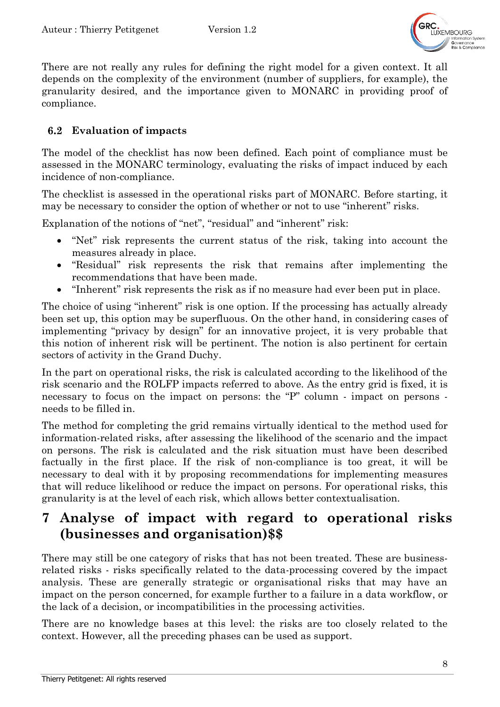

There are not really any rules for defining the right model for a given context. It all depends on the complexity of the environment (number of suppliers, for example), the granularity desired, and the importance given to MONARC in providing proof of compliance.

#### $6.2$ **Evaluation of impacts**

The model of the checklist has now been defined. Each point of compliance must be assessed in the MONARC terminology, evaluating the risks of impact induced by each incidence of non-compliance.

The checklist is assessed in the operational risks part of MONARC. Before starting, it may be necessary to consider the option of whether or not to use "inherent" risks.

Explanation of the notions of "net", "residual" and "inherent" risk:

- "Net" risk represents the current status of the risk, taking into account the measures already in place.
- "Residual" risk represents the risk that remains after implementing the recommendations that have been made.
- "Inherent" risk represents the risk as if no measure had ever been put in place.

The choice of using "inherent" risk is one option. If the processing has actually already been set up, this option may be superfluous. On the other hand, in considering cases of implementing "privacy by design" for an innovative project, it is very probable that this notion of inherent risk will be pertinent. The notion is also pertinent for certain sectors of activity in the Grand Duchy.

In the part on operational risks, the risk is calculated according to the likelihood of the risk scenario and the ROLFP impacts referred to above. As the entry grid is fixed, it is necessary to focus on the impact on persons: the "P" column - impact on persons needs to be filled in.

The method for completing the grid remains virtually identical to the method used for information-related risks, after assessing the likelihood of the scenario and the impact on persons. The risk is calculated and the risk situation must have been described factually in the first place. If the risk of non-compliance is too great, it will be necessary to deal with it by proposing recommendations for implementing measures that will reduce likelihood or reduce the impact on persons. For operational risks, this granularity is at the level of each risk, which allows better contextualisation.

# **7 Analyse of impact with regard to operational risks (businesses and organisation)\$\$**

There may still be one category of risks that has not been treated. These are businessrelated risks - risks specifically related to the data-processing covered by the impact analysis. These are generally strategic or organisational risks that may have an impact on the person concerned, for example further to a failure in a data workflow, or the lack of a decision, or incompatibilities in the processing activities.

There are no knowledge bases at this level: the risks are too closely related to the context. However, all the preceding phases can be used as support.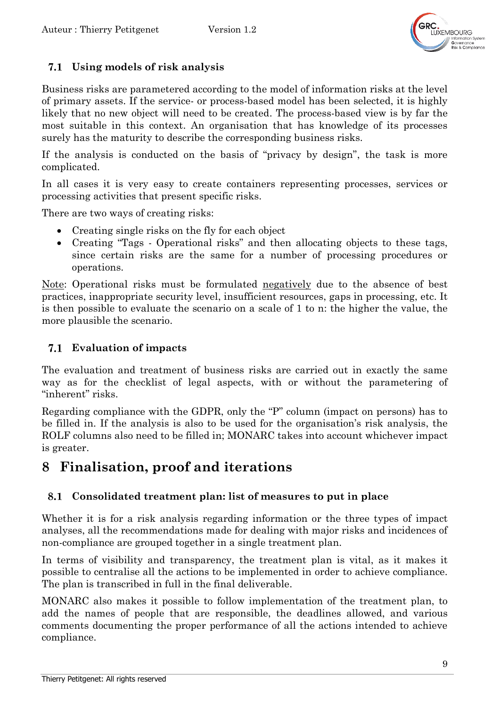

### **Using models of risk analysis**

Business risks are parametered according to the model of information risks at the level of primary assets. If the service- or process-based model has been selected, it is highly likely that no new object will need to be created. The process-based view is by far the most suitable in this context. An organisation that has knowledge of its processes surely has the maturity to describe the corresponding business risks.

If the analysis is conducted on the basis of "privacy by design", the task is more complicated.

In all cases it is very easy to create containers representing processes, services or processing activities that present specific risks.

There are two ways of creating risks:

- Creating single risks on the fly for each object
- Creating "Tags Operational risks" and then allocating objects to these tags, since certain risks are the same for a number of processing procedures or operations.

Note: Operational risks must be formulated negatively due to the absence of best practices, inappropriate security level, insufficient resources, gaps in processing, etc. It is then possible to evaluate the scenario on a scale of 1 to n: the higher the value, the more plausible the scenario.

### **Evaluation of impacts**

The evaluation and treatment of business risks are carried out in exactly the same way as for the checklist of legal aspects, with or without the parametering of "inherent" risks.

Regarding compliance with the GDPR, only the "P" column (impact on persons) has to be filled in. If the analysis is also to be used for the organisation's risk analysis, the ROLF columns also need to be filled in; MONARC takes into account whichever impact is greater.

# **8 Finalisation, proof and iterations**

#### 8.1 **Consolidated treatment plan: list of measures to put in place**

Whether it is for a risk analysis regarding information or the three types of impact analyses, all the recommendations made for dealing with major risks and incidences of non-compliance are grouped together in a single treatment plan.

In terms of visibility and transparency, the treatment plan is vital, as it makes it possible to centralise all the actions to be implemented in order to achieve compliance. The plan is transcribed in full in the final deliverable.

MONARC also makes it possible to follow implementation of the treatment plan, to add the names of people that are responsible, the deadlines allowed, and various comments documenting the proper performance of all the actions intended to achieve compliance.